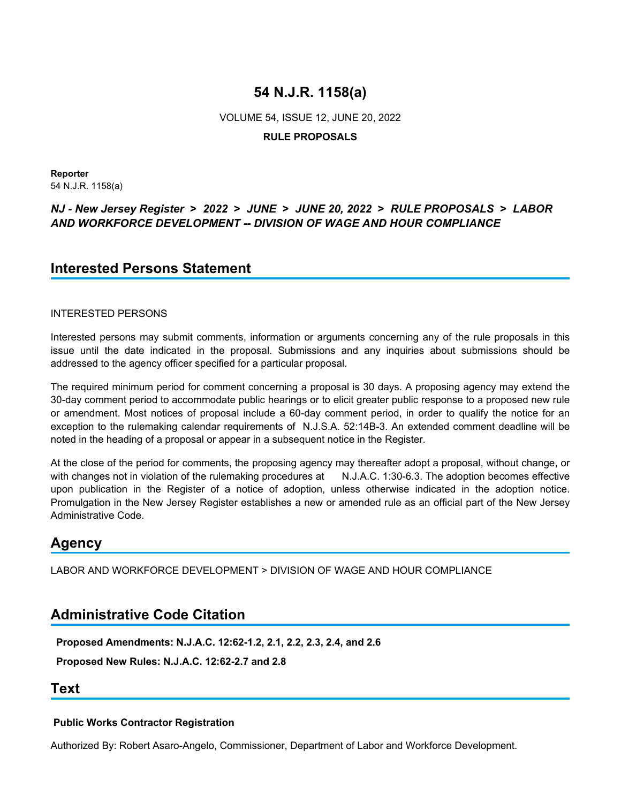VOLUME 54, ISSUE 12, JUNE 20, 2022

## **RULE PROPOSALS**

**Reporter** 54 N.J.R. 1158(a)

## *NJ - New Jersey Register* **>** *2022* **>** *JUNE* **>** *JUNE 20, 2022* **>** *RULE PROPOSALS* **>** *LABOR AND WORKFORCE DEVELOPMENT -- DIVISION OF WAGE AND HOUR COMPLIANCE*

# **Interested Persons Statement**

## INTERESTED PERSONS

Interested persons may submit comments, information or arguments concerning any of the rule proposals in this issue until the date indicated in the proposal. Submissions and any inquiries about submissions should be addressed to the agency officer specified for a particular proposal.

The required minimum period for comment concerning a proposal is 30 days. A proposing agency may extend the 30-day comment period to accommodate public hearings or to elicit greater public response to a proposed new rule or amendment. Most notices of proposal include a 60-day comment period, in order to qualify the notice for an exception to the rulemaking calendar requirements of N.J.S.A. 52:14B-3. An extended comment deadline will be noted in the heading of a proposal or appear in a subsequent notice in the Register.

At the close of the period for comments, the proposing agency may thereafter adopt a proposal, without change, or with changes not in violation of the rulemaking procedures at N.J.A.C. 1:30-6.3. The adoption becomes effective upon publication in the Register of a notice of adoption, unless otherwise indicated in the adoption notice. Promulgation in the New Jersey Register establishes a new or amended rule as an official part of the New Jersey Administrative Code.

# **Agency**

LABOR AND WORKFORCE DEVELOPMENT > DIVISION OF WAGE AND HOUR COMPLIANCE

# **Administrative Code Citation**

**Proposed Amendments: N.J.A.C. 12:62-1.2, 2.1, 2.2, 2.3, 2.4, and 2.6**

**Proposed New Rules: N.J.A.C. 12:62-2.7 and 2.8**

## **Text**

## **Public Works Contractor Registration**

Authorized By: Robert Asaro-Angelo, Commissioner, Department of Labor and Workforce Development.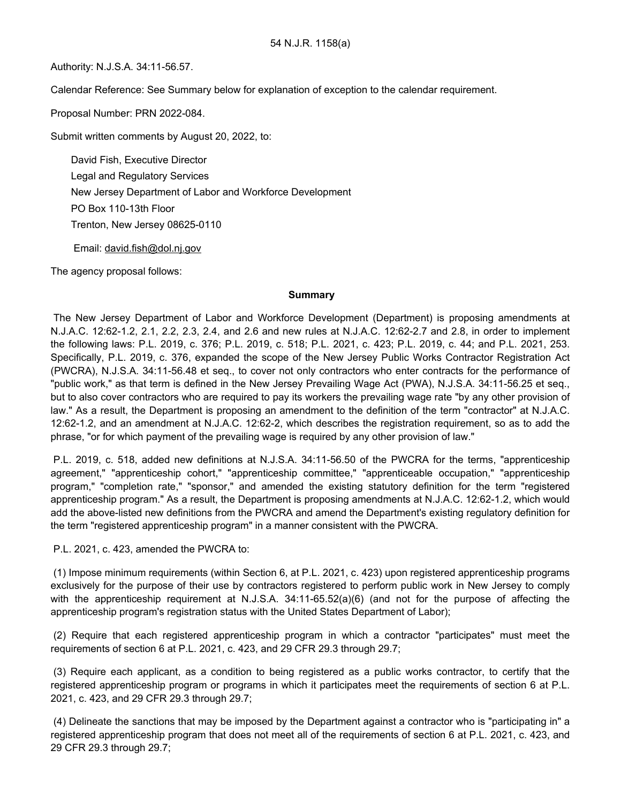Authority: N.J.S.A. 34:11-56.57.

Calendar Reference: See Summary below for explanation of exception to the calendar requirement.

Proposal Number: PRN 2022-084.

Submit written comments by August 20, 2022, to:

David Fish, Executive Director Legal and Regulatory Services New Jersey Department of Labor and Workforce Development PO Box 110-13th Floor Trenton, New Jersey 08625-0110

Email: david.fish@dol.nj.gov

The agency proposal follows:

#### **Summary**

The New Jersey Department of Labor and Workforce Development (Department) is proposing amendments at N.J.A.C. 12:62-1.2, 2.1, 2.2, 2.3, 2.4, and 2.6 and new rules at N.J.A.C. 12:62-2.7 and 2.8, in order to implement the following laws: P.L. 2019, c. 376; P.L. 2019, c. 518; P.L. 2021, c. 423; P.L. 2019, c. 44; and P.L. 2021, 253. Specifically, P.L. 2019, c. 376, expanded the scope of the New Jersey Public Works Contractor Registration Act (PWCRA), N.J.S.A. 34:11-56.48 et seq., to cover not only contractors who enter contracts for the performance of "public work," as that term is defined in the New Jersey Prevailing Wage Act (PWA), N.J.S.A. 34:11-56.25 et seq., but to also cover contractors who are required to pay its workers the prevailing wage rate "by any other provision of law." As a result, the Department is proposing an amendment to the definition of the term "contractor" at N.J.A.C. 12:62-1.2, and an amendment at N.J.A.C. 12:62-2, which describes the registration requirement, so as to add the phrase, "or for which payment of the prevailing wage is required by any other provision of law."

P.L. 2019, c. 518, added new definitions at N.J.S.A. 34:11-56.50 of the PWCRA for the terms, "apprenticeship agreement," "apprenticeship cohort," "apprenticeship committee," "apprenticeable occupation," "apprenticeship program," "completion rate," "sponsor," and amended the existing statutory definition for the term "registered apprenticeship program." As a result, the Department is proposing amendments at N.J.A.C. 12:62-1.2, which would add the above-listed new definitions from the PWCRA and amend the Department's existing regulatory definition for the term "registered apprenticeship program" in a manner consistent with the PWCRA.

P.L. 2021, c. 423, amended the PWCRA to:

(1) Impose minimum requirements (within Section 6, at P.L. 2021, c. 423) upon registered apprenticeship programs exclusively for the purpose of their use by contractors registered to perform public work in New Jersey to comply with the apprenticeship requirement at N.J.S.A. 34:11-65.52(a)(6) (and not for the purpose of affecting the apprenticeship program's registration status with the United States Department of Labor);

(2) Require that each registered apprenticeship program in which a contractor "participates" must meet the requirements of section 6 at P.L. 2021, c. 423, and 29 CFR 29.3 through 29.7;

(3) Require each applicant, as a condition to being registered as a public works contractor, to certify that the registered apprenticeship program or programs in which it participates meet the requirements of section 6 at P.L. 2021, c. 423, and 29 CFR 29.3 through 29.7;

(4) Delineate the sanctions that may be imposed by the Department against a contractor who is "participating in" a registered apprenticeship program that does not meet all of the requirements of section 6 at P.L. 2021, c. 423, and 29 CFR 29.3 through 29.7;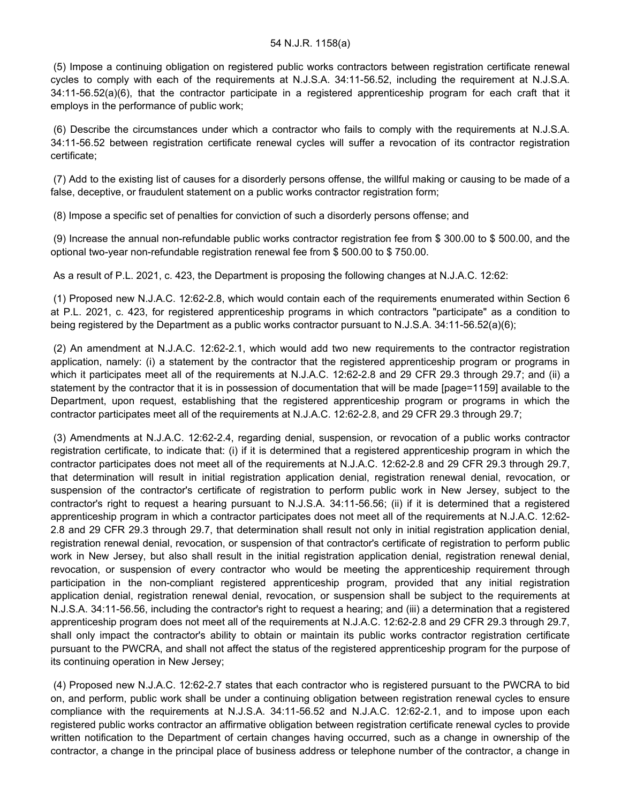(5) Impose a continuing obligation on registered public works contractors between registration certificate renewal cycles to comply with each of the requirements at N.J.S.A. 34:11-56.52, including the requirement at N.J.S.A. 34:11-56.52(a)(6), that the contractor participate in a registered apprenticeship program for each craft that it employs in the performance of public work;

(6) Describe the circumstances under which a contractor who fails to comply with the requirements at N.J.S.A. 34:11-56.52 between registration certificate renewal cycles will suffer a revocation of its contractor registration certificate;

(7) Add to the existing list of causes for a disorderly persons offense, the willful making or causing to be made of a false, deceptive, or fraudulent statement on a public works contractor registration form;

(8) Impose a specific set of penalties for conviction of such a disorderly persons offense; and

(9) Increase the annual non-refundable public works contractor registration fee from \$ 300.00 to \$ 500.00, and the optional two-year non-refundable registration renewal fee from \$ 500.00 to \$ 750.00.

As a result of P.L. 2021, c. 423, the Department is proposing the following changes at N.J.A.C. 12:62:

(1) Proposed new N.J.A.C. 12:62-2.8, which would contain each of the requirements enumerated within Section 6 at P.L. 2021, c. 423, for registered apprenticeship programs in which contractors "participate" as a condition to being registered by the Department as a public works contractor pursuant to N.J.S.A. 34:11-56.52(a)(6);

(2) An amendment at N.J.A.C. 12:62-2.1, which would add two new requirements to the contractor registration application, namely: (i) a statement by the contractor that the registered apprenticeship program or programs in which it participates meet all of the requirements at N.J.A.C. 12:62-2.8 and 29 CFR 29.3 through 29.7; and (ii) a statement by the contractor that it is in possession of documentation that will be made [page=1159] available to the Department, upon request, establishing that the registered apprenticeship program or programs in which the contractor participates meet all of the requirements at N.J.A.C. 12:62-2.8, and 29 CFR 29.3 through 29.7;

(3) Amendments at N.J.A.C. 12:62-2.4, regarding denial, suspension, or revocation of a public works contractor registration certificate, to indicate that: (i) if it is determined that a registered apprenticeship program in which the contractor participates does not meet all of the requirements at N.J.A.C. 12:62-2.8 and 29 CFR 29.3 through 29.7, that determination will result in initial registration application denial, registration renewal denial, revocation, or suspension of the contractor's certificate of registration to perform public work in New Jersey, subject to the contractor's right to request a hearing pursuant to N.J.S.A. 34:11-56.56; (ii) if it is determined that a registered apprenticeship program in which a contractor participates does not meet all of the requirements at N.J.A.C. 12:62- 2.8 and 29 CFR 29.3 through 29.7, that determination shall result not only in initial registration application denial, registration renewal denial, revocation, or suspension of that contractor's certificate of registration to perform public work in New Jersey, but also shall result in the initial registration application denial, registration renewal denial, revocation, or suspension of every contractor who would be meeting the apprenticeship requirement through participation in the non-compliant registered apprenticeship program, provided that any initial registration application denial, registration renewal denial, revocation, or suspension shall be subject to the requirements at N.J.S.A. 34:11-56.56, including the contractor's right to request a hearing; and (iii) a determination that a registered apprenticeship program does not meet all of the requirements at N.J.A.C. 12:62-2.8 and 29 CFR 29.3 through 29.7, shall only impact the contractor's ability to obtain or maintain its public works contractor registration certificate pursuant to the PWCRA, and shall not affect the status of the registered apprenticeship program for the purpose of its continuing operation in New Jersey;

(4) Proposed new N.J.A.C. 12:62-2.7 states that each contractor who is registered pursuant to the PWCRA to bid on, and perform, public work shall be under a continuing obligation between registration renewal cycles to ensure compliance with the requirements at N.J.S.A. 34:11-56.52 and N.J.A.C. 12:62-2.1, and to impose upon each registered public works contractor an affirmative obligation between registration certificate renewal cycles to provide written notification to the Department of certain changes having occurred, such as a change in ownership of the contractor, a change in the principal place of business address or telephone number of the contractor, a change in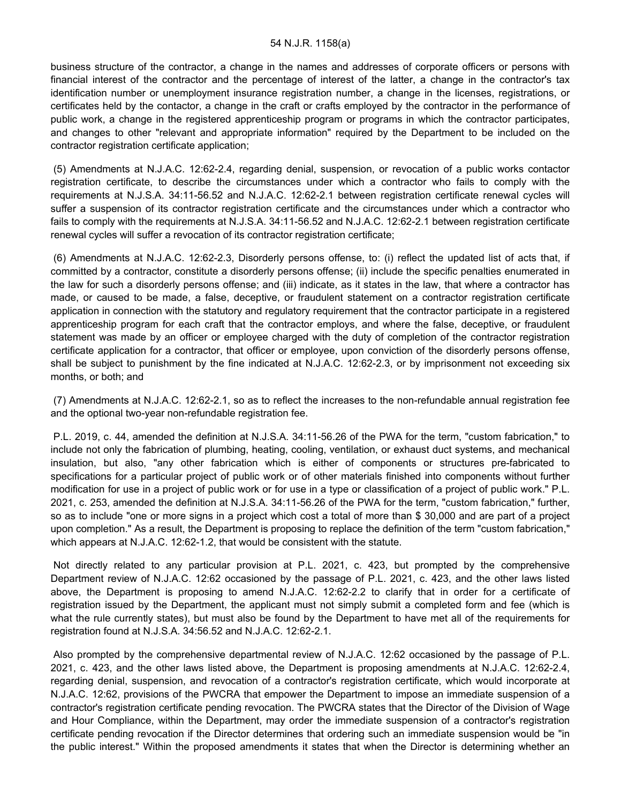business structure of the contractor, a change in the names and addresses of corporate officers or persons with financial interest of the contractor and the percentage of interest of the latter, a change in the contractor's tax identification number or unemployment insurance registration number, a change in the licenses, registrations, or certificates held by the contactor, a change in the craft or crafts employed by the contractor in the performance of public work, a change in the registered apprenticeship program or programs in which the contractor participates, and changes to other "relevant and appropriate information" required by the Department to be included on the contractor registration certificate application;

(5) Amendments at N.J.A.C. 12:62-2.4, regarding denial, suspension, or revocation of a public works contactor registration certificate, to describe the circumstances under which a contractor who fails to comply with the requirements at N.J.S.A. 34:11-56.52 and N.J.A.C. 12:62-2.1 between registration certificate renewal cycles will suffer a suspension of its contractor registration certificate and the circumstances under which a contractor who fails to comply with the requirements at N.J.S.A. 34:11-56.52 and N.J.A.C. 12:62-2.1 between registration certificate renewal cycles will suffer a revocation of its contractor registration certificate;

(6) Amendments at N.J.A.C. 12:62-2.3, Disorderly persons offense, to: (i) reflect the updated list of acts that, if committed by a contractor, constitute a disorderly persons offense; (ii) include the specific penalties enumerated in the law for such a disorderly persons offense; and (iii) indicate, as it states in the law, that where a contractor has made, or caused to be made, a false, deceptive, or fraudulent statement on a contractor registration certificate application in connection with the statutory and regulatory requirement that the contractor participate in a registered apprenticeship program for each craft that the contractor employs, and where the false, deceptive, or fraudulent statement was made by an officer or employee charged with the duty of completion of the contractor registration certificate application for a contractor, that officer or employee, upon conviction of the disorderly persons offense, shall be subject to punishment by the fine indicated at N.J.A.C. 12:62-2.3, or by imprisonment not exceeding six months, or both; and

(7) Amendments at N.J.A.C. 12:62-2.1, so as to reflect the increases to the non-refundable annual registration fee and the optional two-year non-refundable registration fee.

P.L. 2019, c. 44, amended the definition at N.J.S.A. 34:11-56.26 of the PWA for the term, "custom fabrication," to include not only the fabrication of plumbing, heating, cooling, ventilation, or exhaust duct systems, and mechanical insulation, but also, "any other fabrication which is either of components or structures pre-fabricated to specifications for a particular project of public work or of other materials finished into components without further modification for use in a project of public work or for use in a type or classification of a project of public work." P.L. 2021, c. 253, amended the definition at N.J.S.A. 34:11-56.26 of the PWA for the term, "custom fabrication," further, so as to include "one or more signs in a project which cost a total of more than \$ 30,000 and are part of a project upon completion." As a result, the Department is proposing to replace the definition of the term "custom fabrication," which appears at N.J.A.C. 12:62-1.2, that would be consistent with the statute.

Not directly related to any particular provision at P.L. 2021, c. 423, but prompted by the comprehensive Department review of N.J.A.C. 12:62 occasioned by the passage of P.L. 2021, c. 423, and the other laws listed above, the Department is proposing to amend N.J.A.C. 12:62-2.2 to clarify that in order for a certificate of registration issued by the Department, the applicant must not simply submit a completed form and fee (which is what the rule currently states), but must also be found by the Department to have met all of the requirements for registration found at N.J.S.A. 34:56.52 and N.J.A.C. 12:62-2.1.

Also prompted by the comprehensive departmental review of N.J.A.C. 12:62 occasioned by the passage of P.L. 2021, c. 423, and the other laws listed above, the Department is proposing amendments at N.J.A.C. 12:62-2.4, regarding denial, suspension, and revocation of a contractor's registration certificate, which would incorporate at N.J.A.C. 12:62, provisions of the PWCRA that empower the Department to impose an immediate suspension of a contractor's registration certificate pending revocation. The PWCRA states that the Director of the Division of Wage and Hour Compliance, within the Department, may order the immediate suspension of a contractor's registration certificate pending revocation if the Director determines that ordering such an immediate suspension would be "in the public interest." Within the proposed amendments it states that when the Director is determining whether an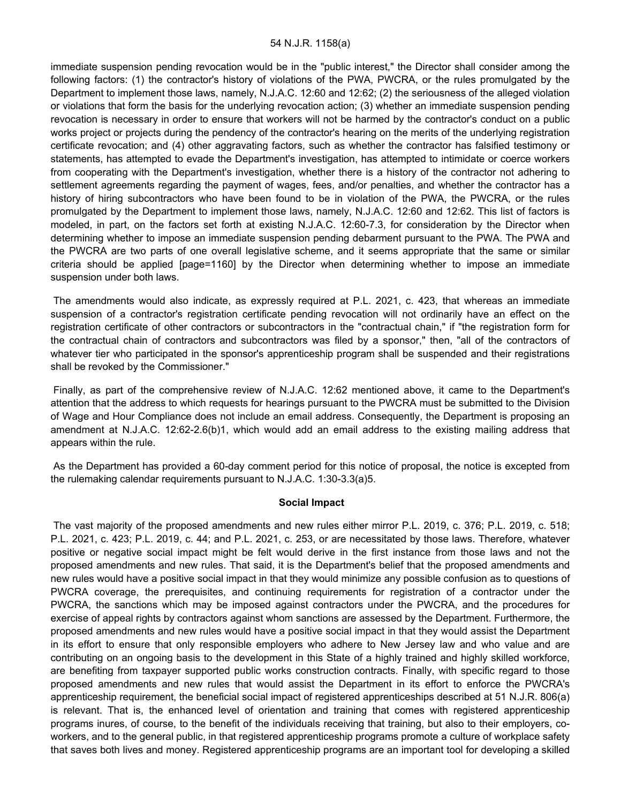immediate suspension pending revocation would be in the "public interest," the Director shall consider among the following factors: (1) the contractor's history of violations of the PWA, PWCRA, or the rules promulgated by the Department to implement those laws, namely, N.J.A.C. 12:60 and 12:62; (2) the seriousness of the alleged violation or violations that form the basis for the underlying revocation action; (3) whether an immediate suspension pending revocation is necessary in order to ensure that workers will not be harmed by the contractor's conduct on a public works project or projects during the pendency of the contractor's hearing on the merits of the underlying registration certificate revocation; and (4) other aggravating factors, such as whether the contractor has falsified testimony or statements, has attempted to evade the Department's investigation, has attempted to intimidate or coerce workers from cooperating with the Department's investigation, whether there is a history of the contractor not adhering to settlement agreements regarding the payment of wages, fees, and/or penalties, and whether the contractor has a history of hiring subcontractors who have been found to be in violation of the PWA, the PWCRA, or the rules promulgated by the Department to implement those laws, namely, N.J.A.C. 12:60 and 12:62. This list of factors is modeled, in part, on the factors set forth at existing N.J.A.C. 12:60-7.3, for consideration by the Director when determining whether to impose an immediate suspension pending debarment pursuant to the PWA. The PWA and the PWCRA are two parts of one overall legislative scheme, and it seems appropriate that the same or similar criteria should be applied [page=1160] by the Director when determining whether to impose an immediate suspension under both laws.

The amendments would also indicate, as expressly required at P.L. 2021, c. 423, that whereas an immediate suspension of a contractor's registration certificate pending revocation will not ordinarily have an effect on the registration certificate of other contractors or subcontractors in the "contractual chain," if "the registration form for the contractual chain of contractors and subcontractors was filed by a sponsor," then, "all of the contractors of whatever tier who participated in the sponsor's apprenticeship program shall be suspended and their registrations shall be revoked by the Commissioner."

Finally, as part of the comprehensive review of N.J.A.C. 12:62 mentioned above, it came to the Department's attention that the address to which requests for hearings pursuant to the PWCRA must be submitted to the Division of Wage and Hour Compliance does not include an email address. Consequently, the Department is proposing an amendment at N.J.A.C. 12:62-2.6(b)1, which would add an email address to the existing mailing address that appears within the rule.

As the Department has provided a 60-day comment period for this notice of proposal, the notice is excepted from the rulemaking calendar requirements pursuant to N.J.A.C. 1:30-3.3(a)5.

#### **Social Impact**

The vast majority of the proposed amendments and new rules either mirror P.L. 2019, c. 376; P.L. 2019, c. 518; P.L. 2021, c. 423; P.L. 2019, c. 44; and P.L. 2021, c. 253, or are necessitated by those laws. Therefore, whatever positive or negative social impact might be felt would derive in the first instance from those laws and not the proposed amendments and new rules. That said, it is the Department's belief that the proposed amendments and new rules would have a positive social impact in that they would minimize any possible confusion as to questions of PWCRA coverage, the prerequisites, and continuing requirements for registration of a contractor under the PWCRA, the sanctions which may be imposed against contractors under the PWCRA, and the procedures for exercise of appeal rights by contractors against whom sanctions are assessed by the Department. Furthermore, the proposed amendments and new rules would have a positive social impact in that they would assist the Department in its effort to ensure that only responsible employers who adhere to New Jersey law and who value and are contributing on an ongoing basis to the development in this State of a highly trained and highly skilled workforce, are benefiting from taxpayer supported public works construction contracts. Finally, with specific regard to those proposed amendments and new rules that would assist the Department in its effort to enforce the PWCRA's apprenticeship requirement, the beneficial social impact of registered apprenticeships described at 51 N.J.R. 806(a) is relevant. That is, the enhanced level of orientation and training that comes with registered apprenticeship programs inures, of course, to the benefit of the individuals receiving that training, but also to their employers, coworkers, and to the general public, in that registered apprenticeship programs promote a culture of workplace safety that saves both lives and money. Registered apprenticeship programs are an important tool for developing a skilled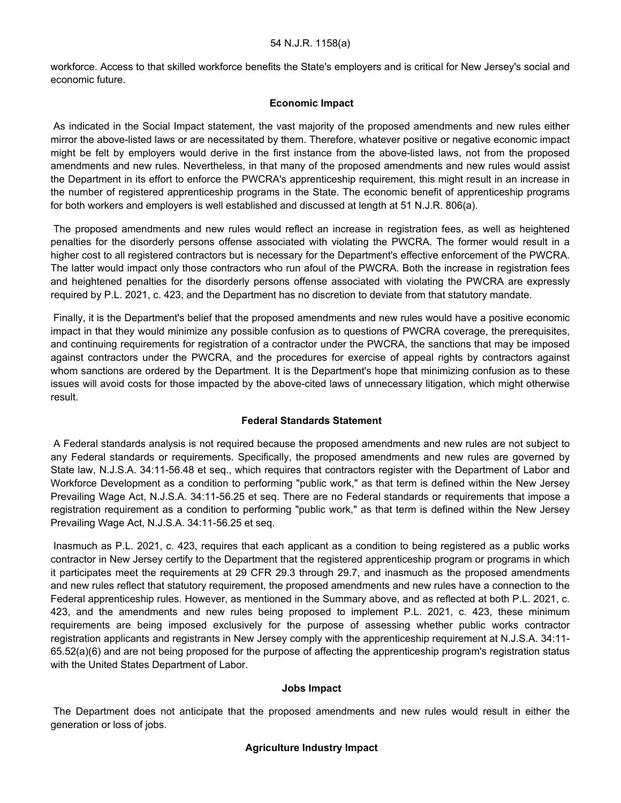workforce. Access to that skilled workforce benefits the State's employers and is critical for New Jersey's social and economic future.

### **Economic Impact**

As indicated in the Social Impact statement, the vast majority of the proposed amendments and new rules either mirror the above-listed laws or are necessitated by them. Therefore, whatever positive or negative economic impact might be felt by employers would derive in the first instance from the above-listed laws, not from the proposed amendments and new rules. Nevertheless, in that many of the proposed amendments and new rules would assist the Department in its effort to enforce the PWCRA's apprenticeship requirement, this might result in an increase in the number of registered apprenticeship programs in the State. The economic benefit of apprenticeship programs for both workers and employers is well established and discussed at length at 51 N.J.R. 806(a).

The proposed amendments and new rules would reflect an increase in registration fees, as well as heightened penalties for the disorderly persons offense associated with violating the PWCRA. The former would result in a higher cost to all registered contractors but is necessary for the Department's effective enforcement of the PWCRA. The latter would impact only those contractors who run afoul of the PWCRA. Both the increase in registration fees and heightened penalties for the disorderly persons offense associated with violating the PWCRA are expressly required by P.L. 2021, c. 423, and the Department has no discretion to deviate from that statutory mandate.

Finally, it is the Department's belief that the proposed amendments and new rules would have a positive economic impact in that they would minimize any possible confusion as to questions of PWCRA coverage, the prerequisites, and continuing requirements for registration of a contractor under the PWCRA, the sanctions that may be imposed against contractors under the PWCRA, and the procedures for exercise of appeal rights by contractors against whom sanctions are ordered by the Department. It is the Department's hope that minimizing confusion as to these issues will avoid costs for those impacted by the above-cited laws of unnecessary litigation, which might otherwise result.

## **Federal Standards Statement**

A Federal standards analysis is not required because the proposed amendments and new rules are not subject to any Federal standards or requirements. Specifically, the proposed amendments and new rules are governed by State law, N.J.S.A. 34:11-56.48 et seq., which requires that contractors register with the Department of Labor and Workforce Development as a condition to performing "public work," as that term is defined within the New Jersey Prevailing Wage Act, N.J.S.A. 34:11-56.25 et seq. There are no Federal standards or requirements that impose a registration requirement as a condition to performing "public work," as that term is defined within the New Jersey Prevailing Wage Act, N.J.S.A. 34:11-56.25 et seq.

Inasmuch as P.L. 2021, c. 423, requires that each applicant as a condition to being registered as a public works contractor in New Jersey certify to the Department that the registered apprenticeship program or programs in which it participates meet the requirements at 29 CFR 29.3 through 29.7, and inasmuch as the proposed amendments and new rules reflect that statutory requirement, the proposed amendments and new rules have a connection to the Federal apprenticeship rules. However, as mentioned in the Summary above, and as reflected at both P.L. 2021, c. 423, and the amendments and new rules being proposed to implement P.L. 2021, c. 423, these minimum requirements are being imposed exclusively for the purpose of assessing whether public works contractor registration applicants and registrants in New Jersey comply with the apprenticeship requirement at N.J.S.A. 34:11- 65.52(a)(6) and are not being proposed for the purpose of affecting the apprenticeship program's registration status with the United States Department of Labor.

## **Jobs Impact**

The Department does not anticipate that the proposed amendments and new rules would result in either the generation or loss of jobs.

## **Agriculture Industry Impact**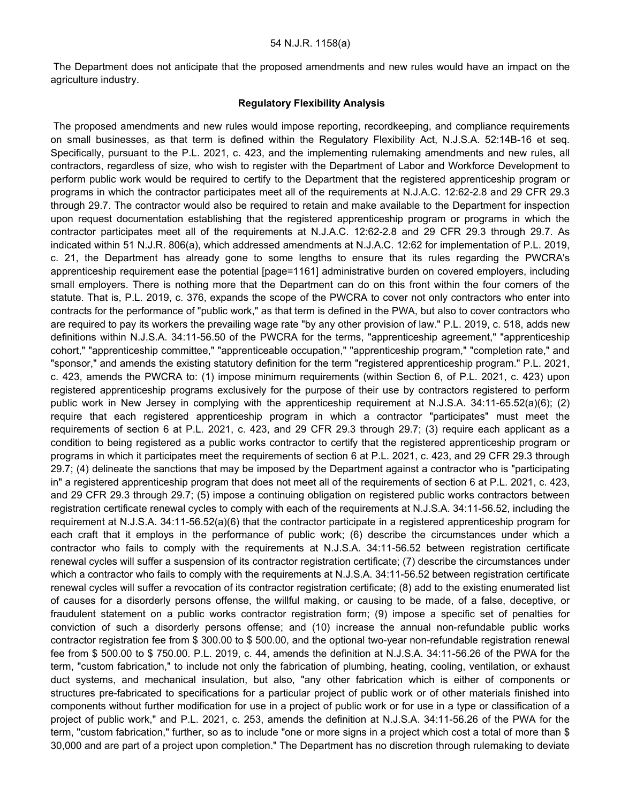The Department does not anticipate that the proposed amendments and new rules would have an impact on the agriculture industry.

#### **Regulatory Flexibility Analysis**

The proposed amendments and new rules would impose reporting, recordkeeping, and compliance requirements on small businesses, as that term is defined within the Regulatory Flexibility Act, N.J.S.A. 52:14B-16 et seq. Specifically, pursuant to the P.L. 2021, c. 423, and the implementing rulemaking amendments and new rules, all contractors, regardless of size, who wish to register with the Department of Labor and Workforce Development to perform public work would be required to certify to the Department that the registered apprenticeship program or programs in which the contractor participates meet all of the requirements at N.J.A.C. 12:62-2.8 and 29 CFR 29.3 through 29.7. The contractor would also be required to retain and make available to the Department for inspection upon request documentation establishing that the registered apprenticeship program or programs in which the contractor participates meet all of the requirements at N.J.A.C. 12:62-2.8 and 29 CFR 29.3 through 29.7. As indicated within 51 N.J.R. 806(a), which addressed amendments at N.J.A.C. 12:62 for implementation of P.L. 2019, c. 21, the Department has already gone to some lengths to ensure that its rules regarding the PWCRA's apprenticeship requirement ease the potential [page=1161] administrative burden on covered employers, including small employers. There is nothing more that the Department can do on this front within the four corners of the statute. That is, P.L. 2019, c. 376, expands the scope of the PWCRA to cover not only contractors who enter into contracts for the performance of "public work," as that term is defined in the PWA, but also to cover contractors who are required to pay its workers the prevailing wage rate "by any other provision of law." P.L. 2019, c. 518, adds new definitions within N.J.S.A. 34:11-56.50 of the PWCRA for the terms, "apprenticeship agreement," "apprenticeship cohort," "apprenticeship committee," "apprenticeable occupation," "apprenticeship program," "completion rate," and "sponsor," and amends the existing statutory definition for the term "registered apprenticeship program." P.L. 2021, c. 423, amends the PWCRA to: (1) impose minimum requirements (within Section 6, of P.L. 2021, c. 423) upon registered apprenticeship programs exclusively for the purpose of their use by contractors registered to perform public work in New Jersey in complying with the apprenticeship requirement at N.J.S.A. 34:11-65.52(a)(6); (2) require that each registered apprenticeship program in which a contractor "participates" must meet the requirements of section 6 at P.L. 2021, c. 423, and 29 CFR 29.3 through 29.7; (3) require each applicant as a condition to being registered as a public works contractor to certify that the registered apprenticeship program or programs in which it participates meet the requirements of section 6 at P.L. 2021, c. 423, and 29 CFR 29.3 through 29.7; (4) delineate the sanctions that may be imposed by the Department against a contractor who is "participating in" a registered apprenticeship program that does not meet all of the requirements of section 6 at P.L. 2021, c. 423, and 29 CFR 29.3 through 29.7; (5) impose a continuing obligation on registered public works contractors between registration certificate renewal cycles to comply with each of the requirements at N.J.S.A. 34:11-56.52, including the requirement at N.J.S.A. 34:11-56.52(a)(6) that the contractor participate in a registered apprenticeship program for each craft that it employs in the performance of public work; (6) describe the circumstances under which a contractor who fails to comply with the requirements at N.J.S.A. 34:11-56.52 between registration certificate renewal cycles will suffer a suspension of its contractor registration certificate; (7) describe the circumstances under which a contractor who fails to comply with the requirements at N.J.S.A. 34:11-56.52 between registration certificate renewal cycles will suffer a revocation of its contractor registration certificate; (8) add to the existing enumerated list of causes for a disorderly persons offense, the willful making, or causing to be made, of a false, deceptive, or fraudulent statement on a public works contractor registration form; (9) impose a specific set of penalties for conviction of such a disorderly persons offense; and (10) increase the annual non-refundable public works contractor registration fee from \$ 300.00 to \$ 500.00, and the optional two-year non-refundable registration renewal fee from \$ 500.00 to \$ 750.00. P.L. 2019, c. 44, amends the definition at N.J.S.A. 34:11-56.26 of the PWA for the term, "custom fabrication," to include not only the fabrication of plumbing, heating, cooling, ventilation, or exhaust duct systems, and mechanical insulation, but also, "any other fabrication which is either of components or structures pre-fabricated to specifications for a particular project of public work or of other materials finished into components without further modification for use in a project of public work or for use in a type or classification of a project of public work," and P.L. 2021, c. 253, amends the definition at N.J.S.A. 34:11-56.26 of the PWA for the term, "custom fabrication," further, so as to include "one or more signs in a project which cost a total of more than \$ 30,000 and are part of a project upon completion." The Department has no discretion through rulemaking to deviate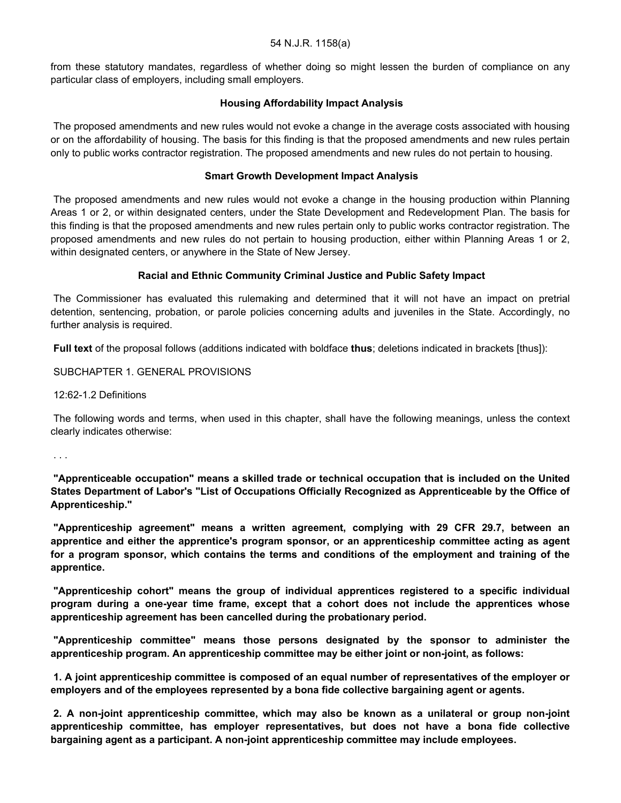from these statutory mandates, regardless of whether doing so might lessen the burden of compliance on any particular class of employers, including small employers.

## **Housing Affordability Impact Analysis**

The proposed amendments and new rules would not evoke a change in the average costs associated with housing or on the affordability of housing. The basis for this finding is that the proposed amendments and new rules pertain only to public works contractor registration. The proposed amendments and new rules do not pertain to housing.

## **Smart Growth Development Impact Analysis**

The proposed amendments and new rules would not evoke a change in the housing production within Planning Areas 1 or 2, or within designated centers, under the State Development and Redevelopment Plan. The basis for this finding is that the proposed amendments and new rules pertain only to public works contractor registration. The proposed amendments and new rules do not pertain to housing production, either within Planning Areas 1 or 2, within designated centers, or anywhere in the State of New Jersey.

## **Racial and Ethnic Community Criminal Justice and Public Safety Impact**

The Commissioner has evaluated this rulemaking and determined that it will not have an impact on pretrial detention, sentencing, probation, or parole policies concerning adults and juveniles in the State. Accordingly, no further analysis is required.

**Full text** of the proposal follows (additions indicated with boldface **thus**; deletions indicated in brackets [thus]):

SUBCHAPTER 1. GENERAL PROVISIONS

12:62-1.2 Definitions

The following words and terms, when used in this chapter, shall have the following meanings, unless the context clearly indicates otherwise:

. . .

**"Apprenticeable occupation" means a skilled trade or technical occupation that is included on the United States Department of Labor's "List of Occupations Officially Recognized as Apprenticeable by the Office of Apprenticeship."**

**"Apprenticeship agreement" means a written agreement, complying with 29 CFR 29.7, between an apprentice and either the apprentice's program sponsor, or an apprenticeship committee acting as agent for a program sponsor, which contains the terms and conditions of the employment and training of the apprentice.**

**"Apprenticeship cohort" means the group of individual apprentices registered to a specific individual program during a one-year time frame, except that a cohort does not include the apprentices whose apprenticeship agreement has been cancelled during the probationary period.**

**"Apprenticeship committee" means those persons designated by the sponsor to administer the apprenticeship program. An apprenticeship committee may be either joint or non-joint, as follows:**

**1. A joint apprenticeship committee is composed of an equal number of representatives of the employer or employers and of the employees represented by a bona fide collective bargaining agent or agents.**

**2. A non-joint apprenticeship committee, which may also be known as a unilateral or group non-joint apprenticeship committee, has employer representatives, but does not have a bona fide collective bargaining agent as a participant. A non-joint apprenticeship committee may include employees.**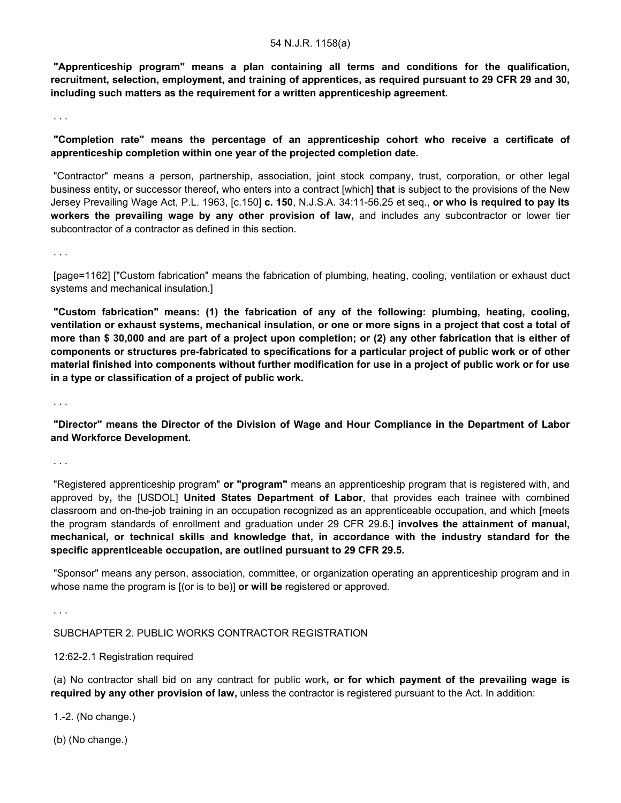**"Apprenticeship program" means a plan containing all terms and conditions for the qualification, recruitment, selection, employment, and training of apprentices, as required pursuant to 29 CFR 29 and 30, including such matters as the requirement for a written apprenticeship agreement.**

. . .

**"Completion rate" means the percentage of an apprenticeship cohort who receive a certificate of apprenticeship completion within one year of the projected completion date.**

"Contractor" means a person, partnership, association, joint stock company, trust, corporation, or other legal business entity**,** or successor thereof**,** who enters into a contract [which] **that** is subject to the provisions of the New Jersey Prevailing Wage Act, P.L. 1963, [c.150] **c. 150**, N.J.S.A. 34:11-56.25 et seq., **or who is required to pay its workers the prevailing wage by any other provision of law,** and includes any subcontractor or lower tier subcontractor of a contractor as defined in this section.

. . .

[page=1162] ["Custom fabrication" means the fabrication of plumbing, heating, cooling, ventilation or exhaust duct systems and mechanical insulation.]

**"Custom fabrication" means: (1) the fabrication of any of the following: plumbing, heating, cooling, ventilation or exhaust systems, mechanical insulation, or one or more signs in a project that cost a total of more than \$ 30,000 and are part of a project upon completion; or (2) any other fabrication that is either of components or structures pre-fabricated to specifications for a particular project of public work or of other material finished into components without further modification for use in a project of public work or for use in a type or classification of a project of public work.**

. . .

**"Director" means the Director of the Division of Wage and Hour Compliance in the Department of Labor and Workforce Development.**

. . .

"Registered apprenticeship program" **or "program"** means an apprenticeship program that is registered with, and approved by**,** the [USDOL] **United States Department of Labor**, that provides each trainee with combined classroom and on-the-job training in an occupation recognized as an apprenticeable occupation, and which [meets the program standards of enrollment and graduation under 29 CFR 29.6.] **involves the attainment of manual, mechanical, or technical skills and knowledge that, in accordance with the industry standard for the specific apprenticeable occupation, are outlined pursuant to 29 CFR 29.5.**

"Sponsor" means any person, association, committee, or organization operating an apprenticeship program and in whose name the program is [(or is to be)] **or will be** registered or approved.

. . .

SUBCHAPTER 2. PUBLIC WORKS CONTRACTOR REGISTRATION

12:62-2.1 Registration required

(a) No contractor shall bid on any contract for public work**, or for which payment of the prevailing wage is required by any other provision of law,** unless the contractor is registered pursuant to the Act. In addition:

1.-2. (No change.)

(b) (No change.)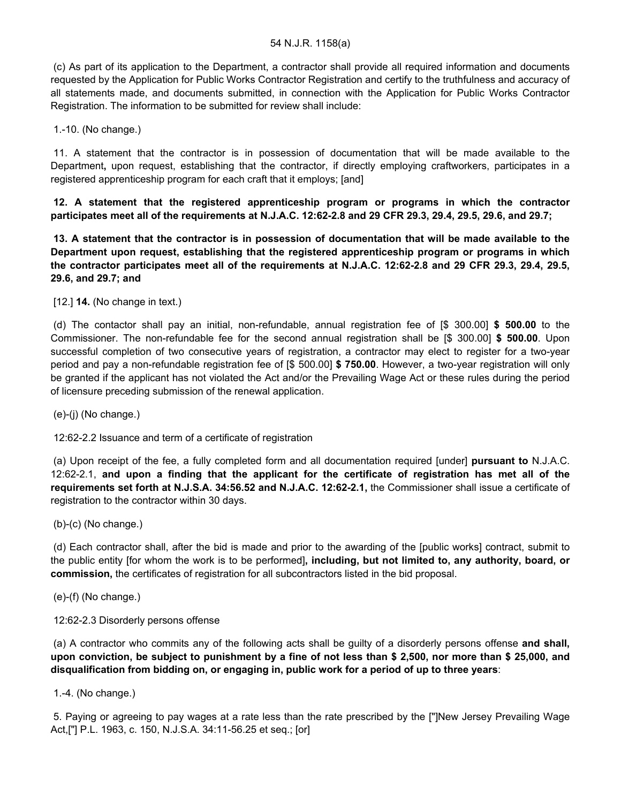(c) As part of its application to the Department, a contractor shall provide all required information and documents requested by the Application for Public Works Contractor Registration and certify to the truthfulness and accuracy of all statements made, and documents submitted, in connection with the Application for Public Works Contractor Registration. The information to be submitted for review shall include:

1.-10. (No change.)

11. A statement that the contractor is in possession of documentation that will be made available to the Department**,** upon request, establishing that the contractor, if directly employing craftworkers, participates in a registered apprenticeship program for each craft that it employs; [and]

**12. A statement that the registered apprenticeship program or programs in which the contractor participates meet all of the requirements at N.J.A.C. 12:62-2.8 and 29 CFR 29.3, 29.4, 29.5, 29.6, and 29.7;**

**13. A statement that the contractor is in possession of documentation that will be made available to the Department upon request, establishing that the registered apprenticeship program or programs in which the contractor participates meet all of the requirements at N.J.A.C. 12:62-2.8 and 29 CFR 29.3, 29.4, 29.5, 29.6, and 29.7; and**

[12.] **14.** (No change in text.)

(d) The contactor shall pay an initial, non-refundable, annual registration fee of [\$ 300.00] **\$ 500.00** to the Commissioner. The non-refundable fee for the second annual registration shall be [\$ 300.00] **\$ 500.00**. Upon successful completion of two consecutive years of registration, a contractor may elect to register for a two-year period and pay a non-refundable registration fee of [\$ 500.00] **\$ 750.00**. However, a two-year registration will only be granted if the applicant has not violated the Act and/or the Prevailing Wage Act or these rules during the period of licensure preceding submission of the renewal application.

(e)-(j) (No change.)

12:62-2.2 Issuance and term of a certificate of registration

(a) Upon receipt of the fee, a fully completed form and all documentation required [under] **pursuant to** N.J.A.C. 12:62-2.1, **and upon a finding that the applicant for the certificate of registration has met all of the requirements set forth at N.J.S.A. 34:56.52 and N.J.A.C. 12:62-2.1,** the Commissioner shall issue a certificate of registration to the contractor within 30 days.

(b)-(c) (No change.)

(d) Each contractor shall, after the bid is made and prior to the awarding of the [public works] contract, submit to the public entity [for whom the work is to be performed]**, including, but not limited to, any authority, board, or commission,** the certificates of registration for all subcontractors listed in the bid proposal.

(e)-(f) (No change.)

12:62-2.3 Disorderly persons offense

(a) A contractor who commits any of the following acts shall be guilty of a disorderly persons offense **and shall, upon conviction, be subject to punishment by a fine of not less than \$ 2,500, nor more than \$ 25,000, and disqualification from bidding on, or engaging in, public work for a period of up to three years**:

1.-4. (No change.)

5. Paying or agreeing to pay wages at a rate less than the rate prescribed by the ["]New Jersey Prevailing Wage Act,["] P.L. 1963, c. 150, N.J.S.A. 34:11-56.25 et seq.; [or]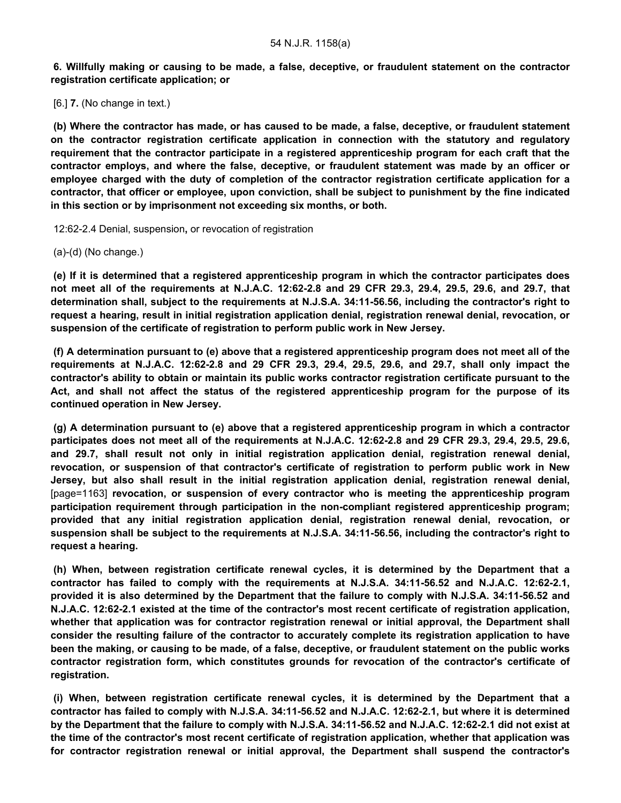**6. Willfully making or causing to be made, a false, deceptive, or fraudulent statement on the contractor registration certificate application; or**

[6.] **7.** (No change in text.)

**(b) Where the contractor has made, or has caused to be made, a false, deceptive, or fraudulent statement on the contractor registration certificate application in connection with the statutory and regulatory requirement that the contractor participate in a registered apprenticeship program for each craft that the contractor employs, and where the false, deceptive, or fraudulent statement was made by an officer or employee charged with the duty of completion of the contractor registration certificate application for a contractor, that officer or employee, upon conviction, shall be subject to punishment by the fine indicated in this section or by imprisonment not exceeding six months, or both.**

12:62-2.4 Denial, suspension**,** or revocation of registration

(a)-(d) (No change.)

**(e) If it is determined that a registered apprenticeship program in which the contractor participates does not meet all of the requirements at N.J.A.C. 12:62-2.8 and 29 CFR 29.3, 29.4, 29.5, 29.6, and 29.7, that determination shall, subject to the requirements at N.J.S.A. 34:11-56.56, including the contractor's right to request a hearing, result in initial registration application denial, registration renewal denial, revocation, or suspension of the certificate of registration to perform public work in New Jersey.**

**(f) A determination pursuant to (e) above that a registered apprenticeship program does not meet all of the requirements at N.J.A.C. 12:62-2.8 and 29 CFR 29.3, 29.4, 29.5, 29.6, and 29.7, shall only impact the contractor's ability to obtain or maintain its public works contractor registration certificate pursuant to the Act, and shall not affect the status of the registered apprenticeship program for the purpose of its continued operation in New Jersey.**

**(g) A determination pursuant to (e) above that a registered apprenticeship program in which a contractor participates does not meet all of the requirements at N.J.A.C. 12:62-2.8 and 29 CFR 29.3, 29.4, 29.5, 29.6, and 29.7, shall result not only in initial registration application denial, registration renewal denial, revocation, or suspension of that contractor's certificate of registration to perform public work in New Jersey, but also shall result in the initial registration application denial, registration renewal denial,** [page=1163] **revocation, or suspension of every contractor who is meeting the apprenticeship program participation requirement through participation in the non-compliant registered apprenticeship program; provided that any initial registration application denial, registration renewal denial, revocation, or suspension shall be subject to the requirements at N.J.S.A. 34:11-56.56, including the contractor's right to request a hearing.**

**(h) When, between registration certificate renewal cycles, it is determined by the Department that a contractor has failed to comply with the requirements at N.J.S.A. 34:11-56.52 and N.J.A.C. 12:62-2.1, provided it is also determined by the Department that the failure to comply with N.J.S.A. 34:11-56.52 and N.J.A.C. 12:62-2.1 existed at the time of the contractor's most recent certificate of registration application, whether that application was for contractor registration renewal or initial approval, the Department shall consider the resulting failure of the contractor to accurately complete its registration application to have been the making, or causing to be made, of a false, deceptive, or fraudulent statement on the public works contractor registration form, which constitutes grounds for revocation of the contractor's certificate of registration.**

**(i) When, between registration certificate renewal cycles, it is determined by the Department that a contractor has failed to comply with N.J.S.A. 34:11-56.52 and N.J.A.C. 12:62-2.1, but where it is determined by the Department that the failure to comply with N.J.S.A. 34:11-56.52 and N.J.A.C. 12:62-2.1 did not exist at the time of the contractor's most recent certificate of registration application, whether that application was for contractor registration renewal or initial approval, the Department shall suspend the contractor's**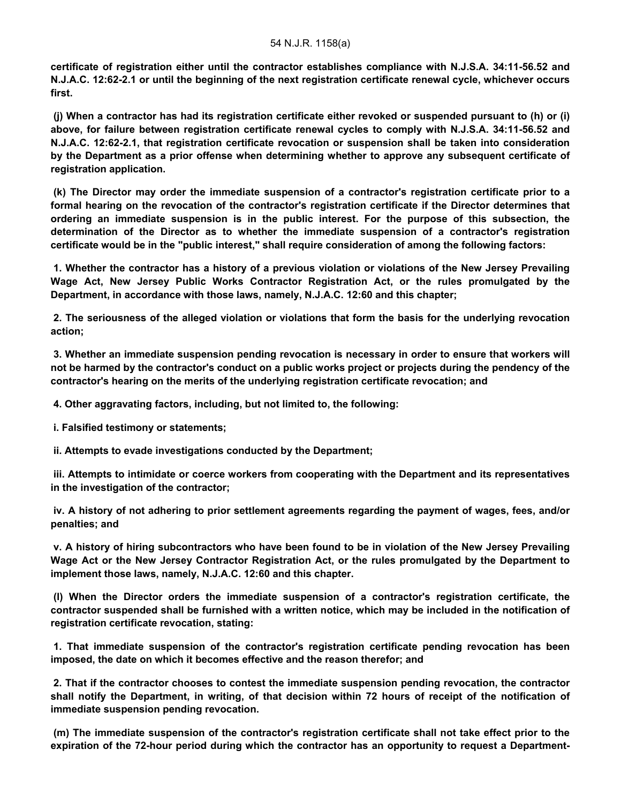**certificate of registration either until the contractor establishes compliance with N.J.S.A. 34:11-56.52 and N.J.A.C. 12:62-2.1 or until the beginning of the next registration certificate renewal cycle, whichever occurs first.**

**(j) When a contractor has had its registration certificate either revoked or suspended pursuant to (h) or (i) above, for failure between registration certificate renewal cycles to comply with N.J.S.A. 34:11-56.52 and N.J.A.C. 12:62-2.1, that registration certificate revocation or suspension shall be taken into consideration by the Department as a prior offense when determining whether to approve any subsequent certificate of registration application.**

**(k) The Director may order the immediate suspension of a contractor's registration certificate prior to a formal hearing on the revocation of the contractor's registration certificate if the Director determines that ordering an immediate suspension is in the public interest. For the purpose of this subsection, the determination of the Director as to whether the immediate suspension of a contractor's registration certificate would be in the "public interest," shall require consideration of among the following factors:**

**1. Whether the contractor has a history of a previous violation or violations of the New Jersey Prevailing Wage Act, New Jersey Public Works Contractor Registration Act, or the rules promulgated by the Department, in accordance with those laws, namely, N.J.A.C. 12:60 and this chapter;**

**2. The seriousness of the alleged violation or violations that form the basis for the underlying revocation action;**

**3. Whether an immediate suspension pending revocation is necessary in order to ensure that workers will not be harmed by the contractor's conduct on a public works project or projects during the pendency of the contractor's hearing on the merits of the underlying registration certificate revocation; and**

**4. Other aggravating factors, including, but not limited to, the following:**

**i. Falsified testimony or statements;**

**ii. Attempts to evade investigations conducted by the Department;**

**iii. Attempts to intimidate or coerce workers from cooperating with the Department and its representatives in the investigation of the contractor;**

**iv. A history of not adhering to prior settlement agreements regarding the payment of wages, fees, and/or penalties; and**

**v. A history of hiring subcontractors who have been found to be in violation of the New Jersey Prevailing Wage Act or the New Jersey Contractor Registration Act, or the rules promulgated by the Department to implement those laws, namely, N.J.A.C. 12:60 and this chapter.**

**(l) When the Director orders the immediate suspension of a contractor's registration certificate, the contractor suspended shall be furnished with a written notice, which may be included in the notification of registration certificate revocation, stating:**

**1. That immediate suspension of the contractor's registration certificate pending revocation has been imposed, the date on which it becomes effective and the reason therefor; and**

**2. That if the contractor chooses to contest the immediate suspension pending revocation, the contractor shall notify the Department, in writing, of that decision within 72 hours of receipt of the notification of immediate suspension pending revocation.**

**(m) The immediate suspension of the contractor's registration certificate shall not take effect prior to the expiration of the 72-hour period during which the contractor has an opportunity to request a Department-**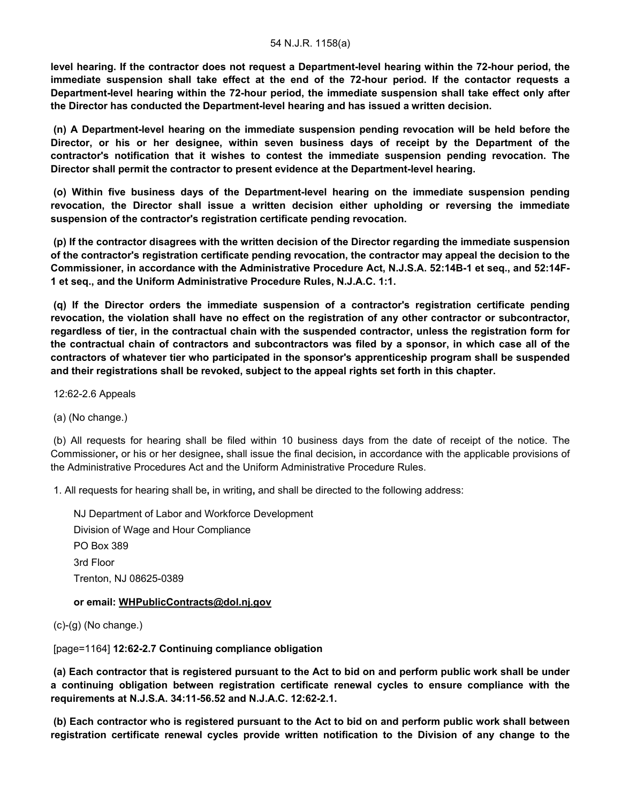**level hearing. If the contractor does not request a Department-level hearing within the 72-hour period, the immediate suspension shall take effect at the end of the 72-hour period. If the contactor requests a Department-level hearing within the 72-hour period, the immediate suspension shall take effect only after the Director has conducted the Department-level hearing and has issued a written decision.**

**(n) A Department-level hearing on the immediate suspension pending revocation will be held before the Director, or his or her designee, within seven business days of receipt by the Department of the contractor's notification that it wishes to contest the immediate suspension pending revocation. The Director shall permit the contractor to present evidence at the Department-level hearing.**

**(o) Within five business days of the Department-level hearing on the immediate suspension pending revocation, the Director shall issue a written decision either upholding or reversing the immediate suspension of the contractor's registration certificate pending revocation.**

**(p) If the contractor disagrees with the written decision of the Director regarding the immediate suspension of the contractor's registration certificate pending revocation, the contractor may appeal the decision to the Commissioner, in accordance with the Administrative Procedure Act, N.J.S.A. 52:14B-1 et seq., and 52:14F-1 et seq., and the Uniform Administrative Procedure Rules, N.J.A.C. 1:1.**

**(q) If the Director orders the immediate suspension of a contractor's registration certificate pending revocation, the violation shall have no effect on the registration of any other contractor or subcontractor, regardless of tier, in the contractual chain with the suspended contractor, unless the registration form for the contractual chain of contractors and subcontractors was filed by a sponsor, in which case all of the contractors of whatever tier who participated in the sponsor's apprenticeship program shall be suspended and their registrations shall be revoked, subject to the appeal rights set forth in this chapter.**

12:62-2.6 Appeals

(a) (No change.)

(b) All requests for hearing shall be filed within 10 business days from the date of receipt of the notice. The Commissioner**,** or his or her designee**,** shall issue the final decision**,** in accordance with the applicable provisions of the Administrative Procedures Act and the Uniform Administrative Procedure Rules.

1. All requests for hearing shall be**,** in writing**,** and shall be directed to the following address:

NJ Department of Labor and Workforce Development Division of Wage and Hour Compliance PO Box 389 3rd Floor Trenton, NJ 08625-0389

## **or email: WHPublicContracts@dol.nj.gov**

 $(c)-(q)$  (No change.)

[page=1164] **12:62-2.7 Continuing compliance obligation**

**(a) Each contractor that is registered pursuant to the Act to bid on and perform public work shall be under a continuing obligation between registration certificate renewal cycles to ensure compliance with the requirements at N.J.S.A. 34:11-56.52 and N.J.A.C. 12:62-2.1.**

**(b) Each contractor who is registered pursuant to the Act to bid on and perform public work shall between registration certificate renewal cycles provide written notification to the Division of any change to the**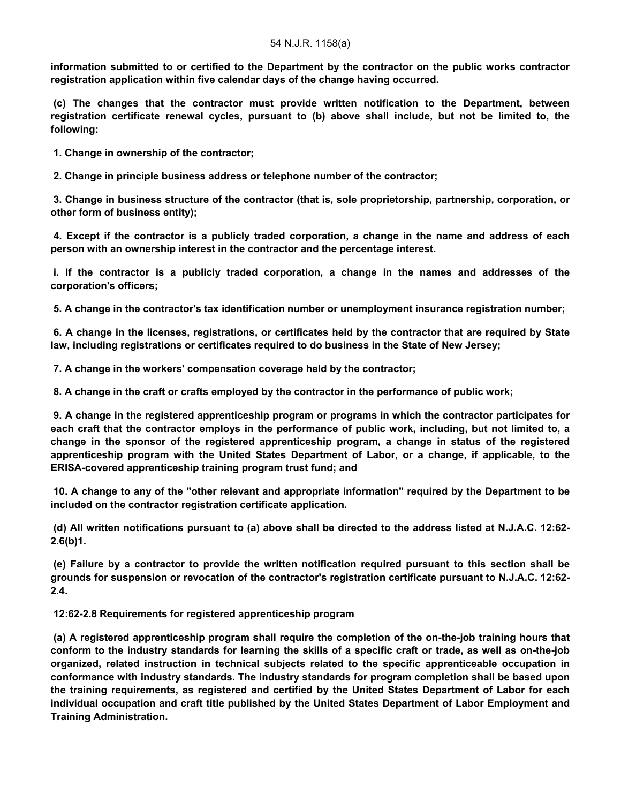**information submitted to or certified to the Department by the contractor on the public works contractor registration application within five calendar days of the change having occurred.**

**(c) The changes that the contractor must provide written notification to the Department, between registration certificate renewal cycles, pursuant to (b) above shall include, but not be limited to, the following:**

**1. Change in ownership of the contractor;**

**2. Change in principle business address or telephone number of the contractor;**

**3. Change in business structure of the contractor (that is, sole proprietorship, partnership, corporation, or other form of business entity);**

**4. Except if the contractor is a publicly traded corporation, a change in the name and address of each person with an ownership interest in the contractor and the percentage interest.**

**i. If the contractor is a publicly traded corporation, a change in the names and addresses of the corporation's officers;**

**5. A change in the contractor's tax identification number or unemployment insurance registration number;**

**6. A change in the licenses, registrations, or certificates held by the contractor that are required by State law, including registrations or certificates required to do business in the State of New Jersey;**

**7. A change in the workers' compensation coverage held by the contractor;**

**8. A change in the craft or crafts employed by the contractor in the performance of public work;**

**9. A change in the registered apprenticeship program or programs in which the contractor participates for each craft that the contractor employs in the performance of public work, including, but not limited to, a change in the sponsor of the registered apprenticeship program, a change in status of the registered apprenticeship program with the United States Department of Labor, or a change, if applicable, to the ERISA-covered apprenticeship training program trust fund; and**

**10. A change to any of the "other relevant and appropriate information" required by the Department to be included on the contractor registration certificate application.**

**(d) All written notifications pursuant to (a) above shall be directed to the address listed at N.J.A.C. 12:62- 2.6(b)1.**

**(e) Failure by a contractor to provide the written notification required pursuant to this section shall be grounds for suspension or revocation of the contractor's registration certificate pursuant to N.J.A.C. 12:62- 2.4.**

**12:62-2.8 Requirements for registered apprenticeship program**

**(a) A registered apprenticeship program shall require the completion of the on-the-job training hours that conform to the industry standards for learning the skills of a specific craft or trade, as well as on-the-job organized, related instruction in technical subjects related to the specific apprenticeable occupation in conformance with industry standards. The industry standards for program completion shall be based upon the training requirements, as registered and certified by the United States Department of Labor for each individual occupation and craft title published by the United States Department of Labor Employment and Training Administration.**